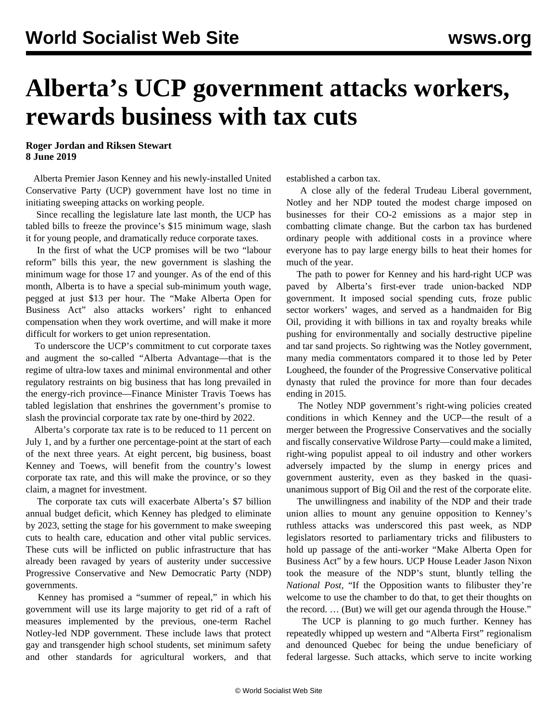## **Alberta's UCP government attacks workers, rewards business with tax cuts**

**Roger Jordan and Riksen Stewart 8 June 2019**

 Alberta Premier Jason Kenney and his newly-installed United Conservative Party (UCP) government have lost no time in initiating sweeping attacks on working people.

 Since recalling the legislature late last month, the UCP has tabled bills to freeze the province's \$15 minimum wage, slash it for young people, and dramatically reduce corporate taxes.

 In the first of what the UCP promises will be two "labour reform" bills this year, the new government is slashing the minimum wage for those 17 and younger. As of the end of this month, Alberta is to have a special sub-minimum youth wage, pegged at just \$13 per hour. The "Make Alberta Open for Business Act" also attacks workers' right to enhanced compensation when they work overtime, and will make it more difficult for workers to get union representation.

 To underscore the UCP's commitment to cut corporate taxes and augment the so-called "Alberta Advantage—that is the regime of ultra-low taxes and minimal environmental and other regulatory restraints on big business that has long prevailed in the energy-rich province—Finance Minister Travis Toews has tabled legislation that enshrines the government's promise to slash the provincial corporate tax rate by one-third by 2022.

 Alberta's corporate tax rate is to be reduced to 11 percent on July 1, and by a further one percentage-point at the start of each of the next three years. At eight percent, big business, boast Kenney and Toews, will benefit from the country's lowest corporate tax rate, and this will make the province, or so they claim, a magnet for investment.

 The corporate tax cuts will exacerbate Alberta's \$7 billion annual budget deficit, which Kenney has pledged to eliminate by 2023, setting the stage for his government to make sweeping cuts to health care, education and other vital public services. These cuts will be inflicted on public infrastructure that has already been ravaged by years of austerity under successive Progressive Conservative and New Democratic Party (NDP) governments.

 Kenney has promised a "summer of repeal," in which his government will use its large majority to get rid of a raft of measures implemented by the previous, one-term Rachel Notley-led NDP government. These include laws that protect gay and transgender high school students, set minimum safety and other standards for agricultural workers, and that established a carbon tax.

 A close ally of the federal Trudeau Liberal government, Notley and her NDP touted the modest charge imposed on businesses for their CO-2 emissions as a major step in combatting climate change. But the carbon tax has burdened ordinary people with additional costs in a province where everyone has to pay large energy bills to heat their homes for much of the year.

 The path to power for Kenney and his hard-right UCP was paved by Alberta's first-ever trade union-backed NDP government. It imposed social spending cuts, froze public sector workers' wages, and served as a handmaiden for Big Oil, providing it with billions in tax and royalty breaks while pushing for environmentally and socially destructive pipeline and tar sand projects. So rightwing was the Notley government, many media commentators compared it to those led by Peter Lougheed, the founder of the Progressive Conservative political dynasty that ruled the province for more than four decades ending in 2015.

 The Notley NDP government's right-wing policies created conditions in which Kenney and the UCP—the result of a merger between the Progressive Conservatives and the socially and fiscally conservative Wildrose Party—could make a limited, right-wing populist appeal to oil industry and other workers adversely impacted by the slump in energy prices and government austerity, even as they basked in the quasiunanimous support of Big Oil and the rest of the corporate elite.

 The unwillingness and inability of the NDP and their trade union allies to mount any genuine opposition to Kenney's ruthless attacks was underscored this past week, as NDP legislators resorted to parliamentary tricks and filibusters to hold up passage of the anti-worker "Make Alberta Open for Business Act" by a few hours. UCP House Leader Jason Nixon took the measure of the NDP's stunt, bluntly telling the *National Post*, "If the Opposition wants to filibuster they're welcome to use the chamber to do that, to get their thoughts on the record. … (But) we will get our agenda through the House."

 The UCP is planning to go much further. Kenney has repeatedly whipped up western and "Alberta First" regionalism and denounced Quebec for being the undue beneficiary of federal largesse. Such attacks, which serve to incite working